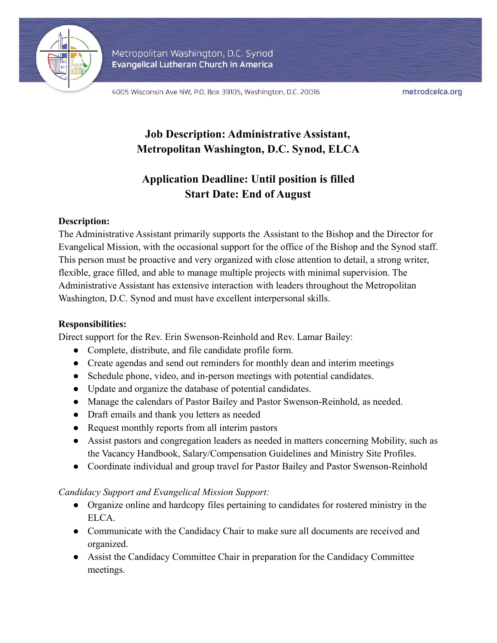

Metropolitan Washington, D.C. Synod Evangelical Lutheran Church in America

4005 Wisconsin Ave NW, P.O. Box 39105, Washington, D.C. 20016

metrodcelca.org

# **Job Description: Administrative Assistant, Metropolitan Washington, D.C. Synod, ELCA**

# **Application Deadline: Until position is filled Start Date: End of August**

### **Description:**

The Administrative Assistant primarily supports the Assistant to the Bishop and the Director for Evangelical Mission, with the occasional support for the office of the Bishop and the Synod staff. This person must be proactive and very organized with close attention to detail, a strong writer, flexible, grace filled, and able to manage multiple projects with minimal supervision. The Administrative Assistant has extensive interaction with leaders throughout the Metropolitan Washington, D.C. Synod and must have excellent interpersonal skills.

## **Responsibilities:**

Direct support for the Rev. Erin Swenson-Reinhold and Rev. Lamar Bailey:

- Complete, distribute, and file candidate profile form.
- Create agendas and send out reminders for monthly dean and interim meetings
- Schedule phone, video, and in-person meetings with potential candidates.
- Update and organize the database of potential candidates.
- Manage the calendars of Pastor Bailey and Pastor Swenson-Reinhold, as needed.
- Draft emails and thank you letters as needed
- Request monthly reports from all interim pastors
- Assist pastors and congregation leaders as needed in matters concerning Mobility, such as the Vacancy Handbook, Salary/Compensation Guidelines and Ministry Site Profiles.
- Coordinate individual and group travel for Pastor Bailey and Pastor Swenson-Reinhold

### *Candidacy Support and Evangelical Mission Support:*

- Organize online and hardcopy files pertaining to candidates for rostered ministry in the ELCA.
- Communicate with the Candidacy Chair to make sure all documents are received and organized.
- Assist the Candidacy Committee Chair in preparation for the Candidacy Committee meetings.